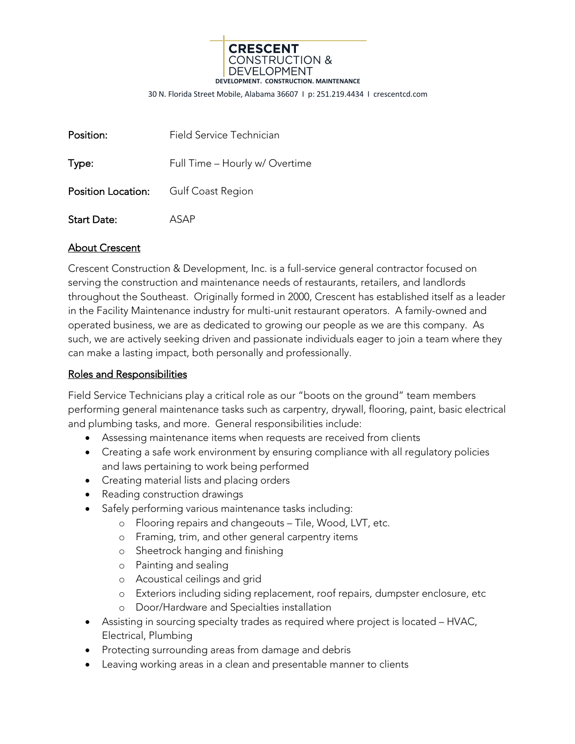

30 N. Florida Street Mobile, Alabama 36607 I p: 251.219.4434 I crescentcd.com

| Position:                                   | Field Service Technician       |
|---------------------------------------------|--------------------------------|
| Type:                                       | Full Time - Hourly w/ Overtime |
| <b>Position Location:</b> Gulf Coast Region |                                |
| <b>Start Date:</b>                          | ASAP                           |

## About Crescent

Crescent Construction & Development, Inc. is a full-service general contractor focused on serving the construction and maintenance needs of restaurants, retailers, and landlords throughout the Southeast. Originally formed in 2000, Crescent has established itself as a leader in the Facility Maintenance industry for multi-unit restaurant operators. A family-owned and operated business, we are as dedicated to growing our people as we are this company. As such, we are actively seeking driven and passionate individuals eager to join a team where they can make a lasting impact, both personally and professionally.

## Roles and Responsibilities

Field Service Technicians play a critical role as our "boots on the ground" team members performing general maintenance tasks such as carpentry, drywall, flooring, paint, basic electrical and plumbing tasks, and more. General responsibilities include:

- Assessing maintenance items when requests are received from clients
- Creating a safe work environment by ensuring compliance with all regulatory policies and laws pertaining to work being performed
- Creating material lists and placing orders
- Reading construction drawings
- Safely performing various maintenance tasks including:
	- o Flooring repairs and changeouts Tile, Wood, LVT, etc.
	- o Framing, trim, and other general carpentry items
	- o Sheetrock hanging and finishing
	- o Painting and sealing
	- o Acoustical ceilings and grid
	- o Exteriors including siding replacement, roof repairs, dumpster enclosure, etc
	- o Door/Hardware and Specialties installation
- Assisting in sourcing specialty trades as required where project is located HVAC, Electrical, Plumbing
- Protecting surrounding areas from damage and debris
- Leaving working areas in a clean and presentable manner to clients